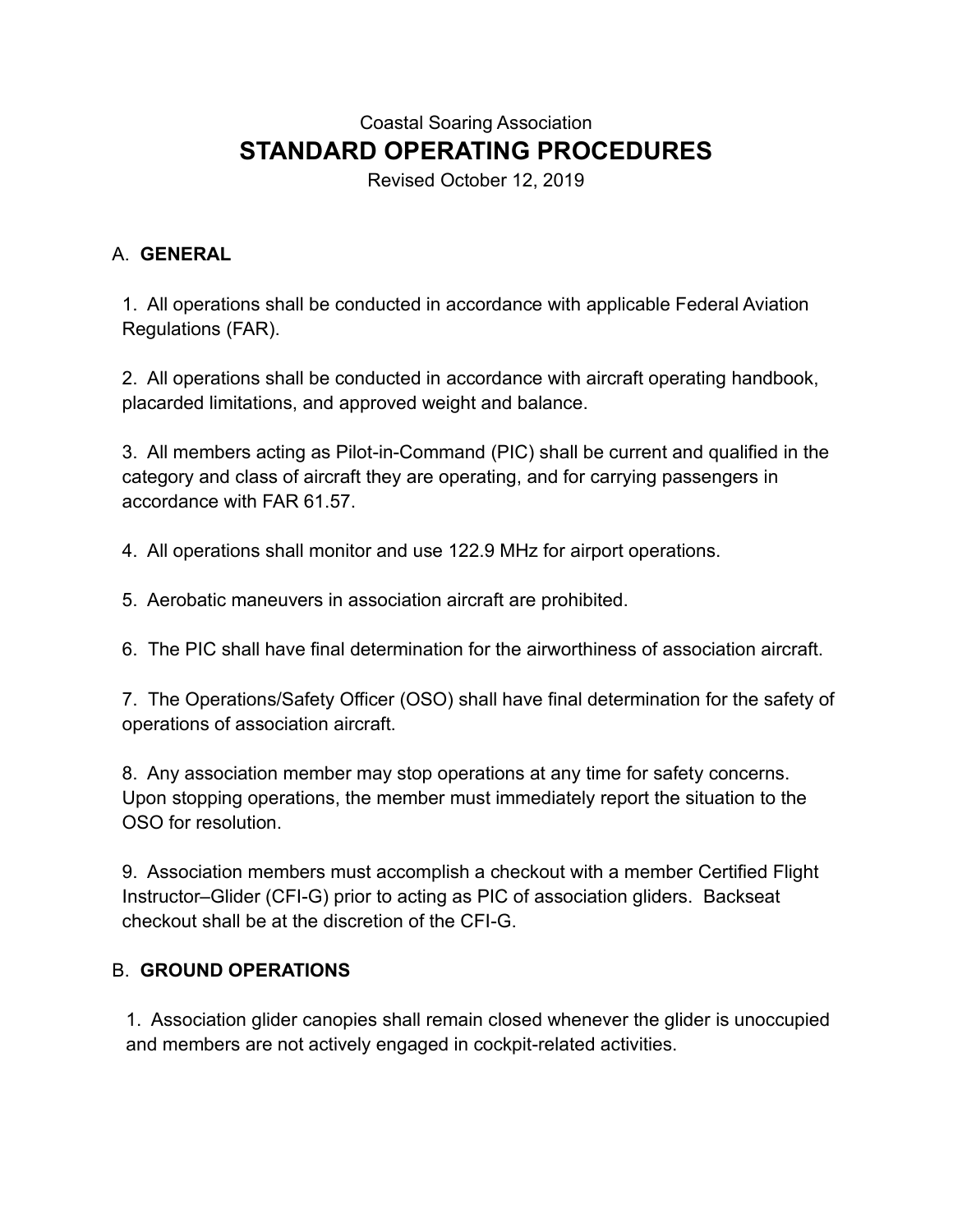# Coastal Soaring Association **STANDARD OPERATING PROCEDURES**

Revised October 12, 2019

### A. **GENERAL**

1. All operations shall be conducted in accordance with applicable Federal Aviation Regulations (FAR).

2. All operations shall be conducted in accordance with aircraft operating handbook, placarded limitations, and approved weight and balance.

3. All members acting as Pilot-in-Command (PIC) shall be current and qualified in the category and class of aircraft they are operating, and for carrying passengers in accordance with FAR 61.57.

4. All operations shall monitor and use 122.9 MHz for airport operations.

5. Aerobatic maneuvers in association aircraft are prohibited.

6. The PIC shall have final determination for the airworthiness of association aircraft.

7. The Operations/Safety Officer (OSO) shall have final determination for the safety of operations of association aircraft.

8. Any association member may stop operations at any time for safety concerns. Upon stopping operations, the member must immediately report the situation to the OSO for resolution.

9. Association members must accomplish a checkout with a member Certified Flight Instructor–Glider (CFI-G) prior to acting as PIC of association gliders. Backseat checkout shall be at the discretion of the CFI-G.

### B. **GROUND OPERATIONS**

1. Association glider canopies shall remain closed whenever the glider is unoccupied and members are not actively engaged in cockpit-related activities.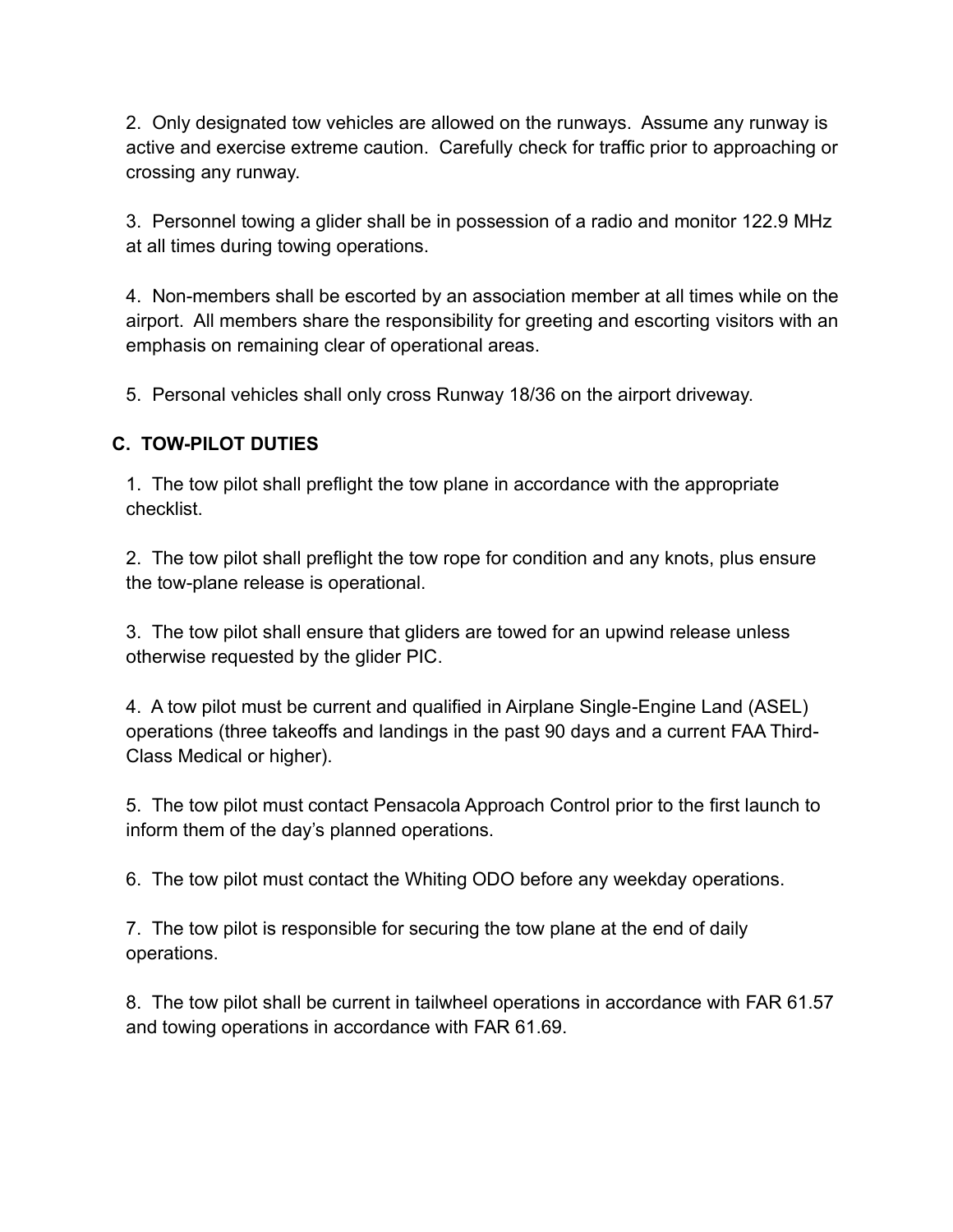2. Only designated tow vehicles are allowed on the runways. Assume any runway is active and exercise extreme caution. Carefully check for traffic prior to approaching or crossing any runway.

3. Personnel towing a glider shall be in possession of a radio and monitor 122.9 MHz at all times during towing operations.

4. Non-members shall be escorted by an association member at all times while on the airport. All members share the responsibility for greeting and escorting visitors with an emphasis on remaining clear of operational areas.

5. Personal vehicles shall only cross Runway 18/36 on the airport driveway.

### **C. TOW-PILOT DUTIES**

1. The tow pilot shall preflight the tow plane in accordance with the appropriate checklist.

2. The tow pilot shall preflight the tow rope for condition and any knots, plus ensure the tow-plane release is operational.

3. The tow pilot shall ensure that gliders are towed for an upwind release unless otherwise requested by the glider PIC.

4. A tow pilot must be current and qualified in Airplane Single-Engine Land (ASEL) operations (three takeoffs and landings in the past 90 days and a current FAA Third-Class Medical or higher).

5. The tow pilot must contact Pensacola Approach Control prior to the first launch to inform them of the day's planned operations.

6. The tow pilot must contact the Whiting ODO before any weekday operations.

7. The tow pilot is responsible for securing the tow plane at the end of daily operations.

8. The tow pilot shall be current in tailwheel operations in accordance with FAR 61.57 and towing operations in accordance with FAR 61.69.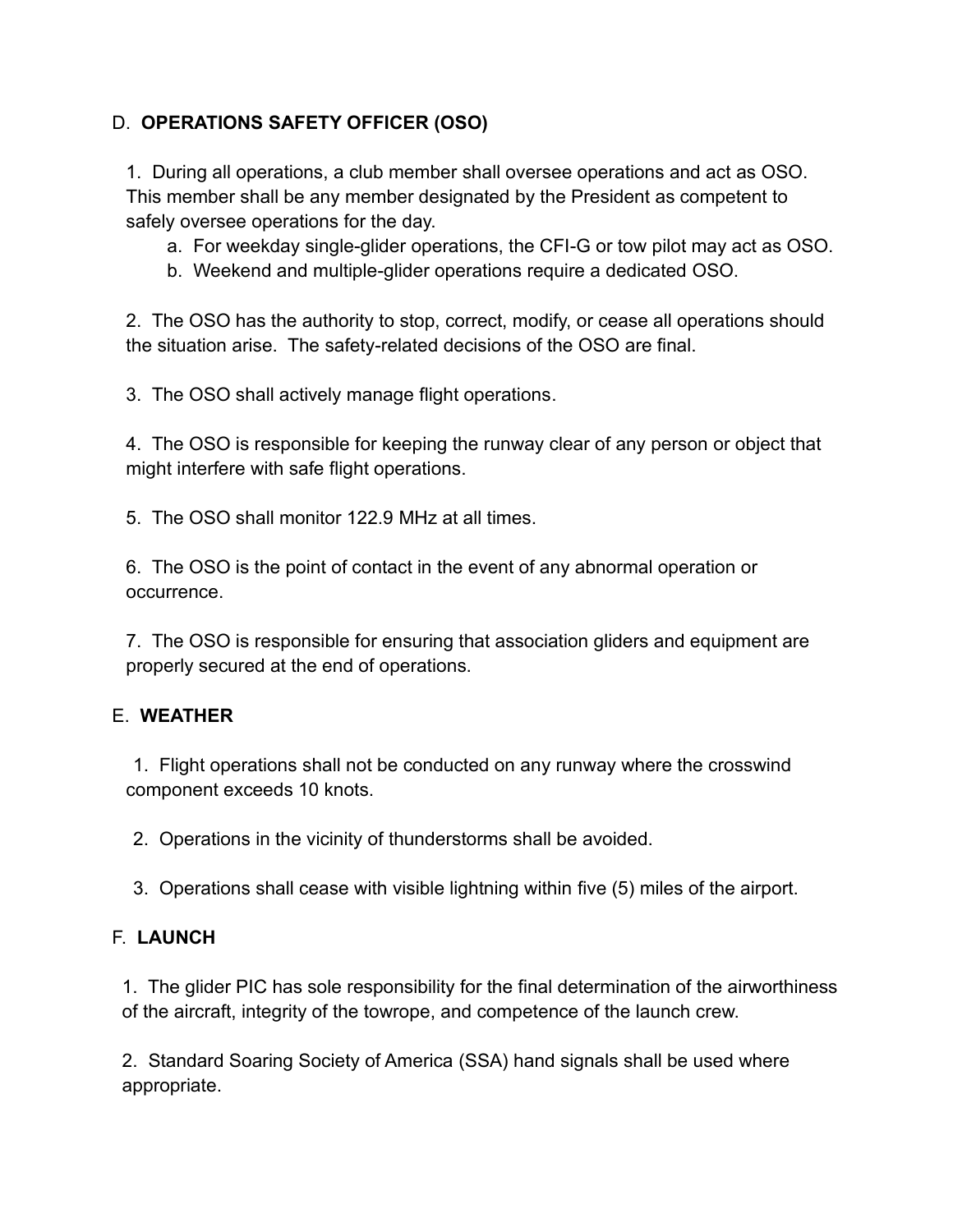## D. **OPERATIONS SAFETY OFFICER (OSO)**

1. During all operations, a club member shall oversee operations and act as OSO. This member shall be any member designated by the President as competent to safely oversee operations for the day.

- a. For weekday single-glider operations, the CFI-G or tow pilot may act as OSO.
- b. Weekend and multiple-glider operations require a dedicated OSO.

2. The OSO has the authority to stop, correct, modify, or cease all operations should the situation arise. The safety-related decisions of the OSO are final.

3. The OSO shall actively manage flight operations.

4. The OSO is responsible for keeping the runway clear of any person or object that might interfere with safe flight operations.

5. The OSO shall monitor 122.9 MHz at all times.

6. The OSO is the point of contact in the event of any abnormal operation or occurrence.

7. The OSO is responsible for ensuring that association gliders and equipment are properly secured at the end of operations.

### E. **WEATHER**

1. Flight operations shall not be conducted on any runway where the crosswind component exceeds 10 knots.

2. Operations in the vicinity of thunderstorms shall be avoided.

3. Operations shall cease with visible lightning within five (5) miles of the airport.

### F. **LAUNCH**

1. The glider PIC has sole responsibility for the final determination of the airworthiness of the aircraft, integrity of the towrope, and competence of the launch crew.

2. Standard Soaring Society of America (SSA) hand signals shall be used where appropriate.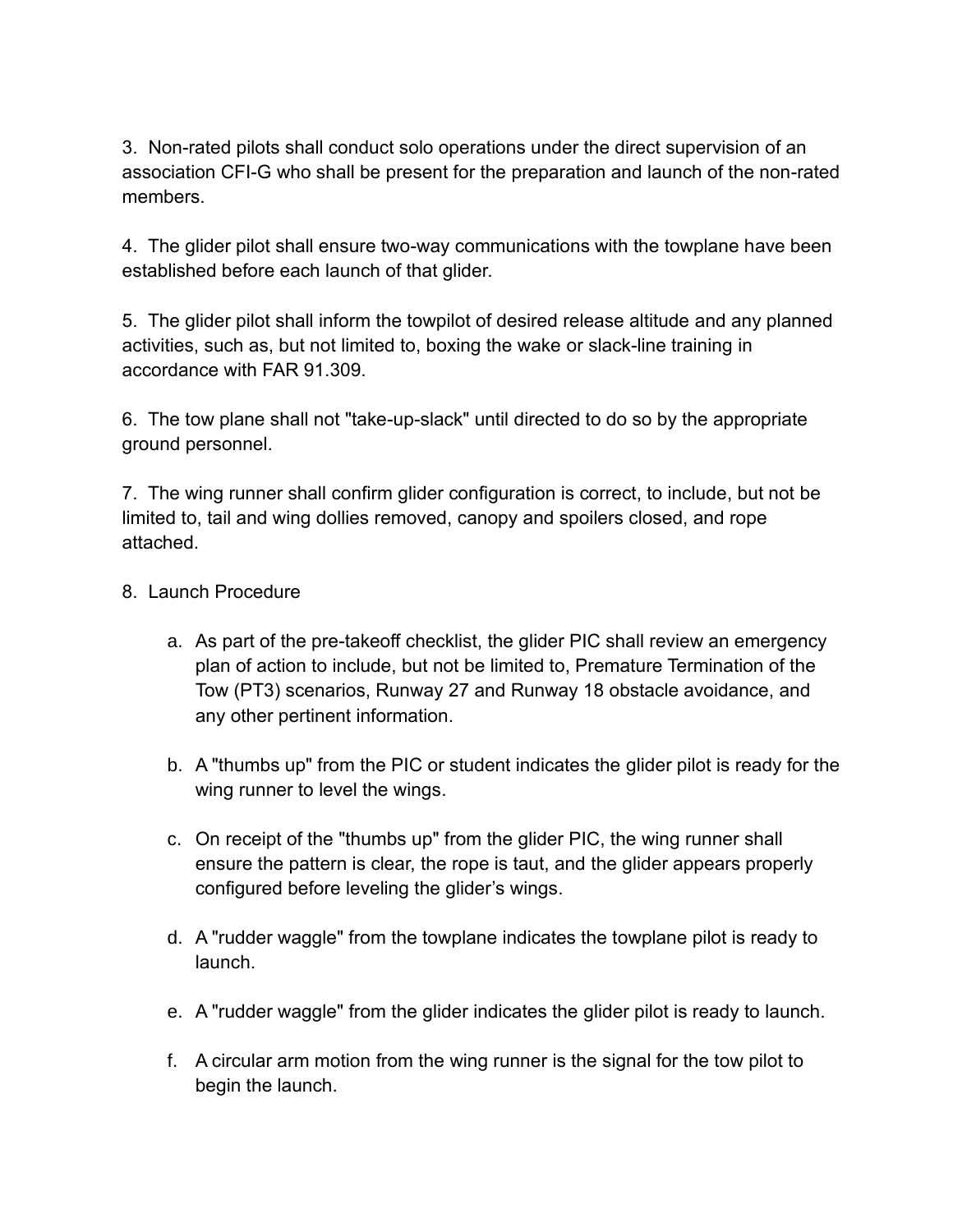3. Non-rated pilots shall conduct solo operations under the direct supervision of an association CFI-G who shall be present for the preparation and launch of the non-rated members.

4. The glider pilot shall ensure two-way communications with the towplane have been established before each launch of that glider.

5. The glider pilot shall inform the towpilot of desired release altitude and any planned activities, such as, but not limited to, boxing the wake or slack-line training in accordance with FAR 91.309.

6. The tow plane shall not "take-up-slack" until directed to do so by the appropriate ground personnel.

7. The wing runner shall confirm glider configuration is correct, to include, but not be limited to, tail and wing dollies removed, canopy and spoilers closed, and rope attached.

#### 8. Launch Procedure

- a. As part of the pre-takeoff checklist, the glider PIC shall review an emergency plan of action to include, but not be limited to, Premature Termination of the Tow (PT3) scenarios, Runway 27 and Runway 18 obstacle avoidance, and any other pertinent information.
- b. A "thumbs up" from the PIC or student indicates the glider pilot is ready for the wing runner to level the wings.
- c. On receipt of the "thumbs up" from the glider PIC, the wing runner shall ensure the pattern is clear, the rope is taut, and the glider appears properly configured before leveling the glider's wings.
- d. A "rudder waggle" from the towplane indicates the towplane pilot is ready to launch.
- e. A "rudder waggle" from the glider indicates the glider pilot is ready to launch.
- f. A circular arm motion from the wing runner is the signal for the tow pilot to begin the launch.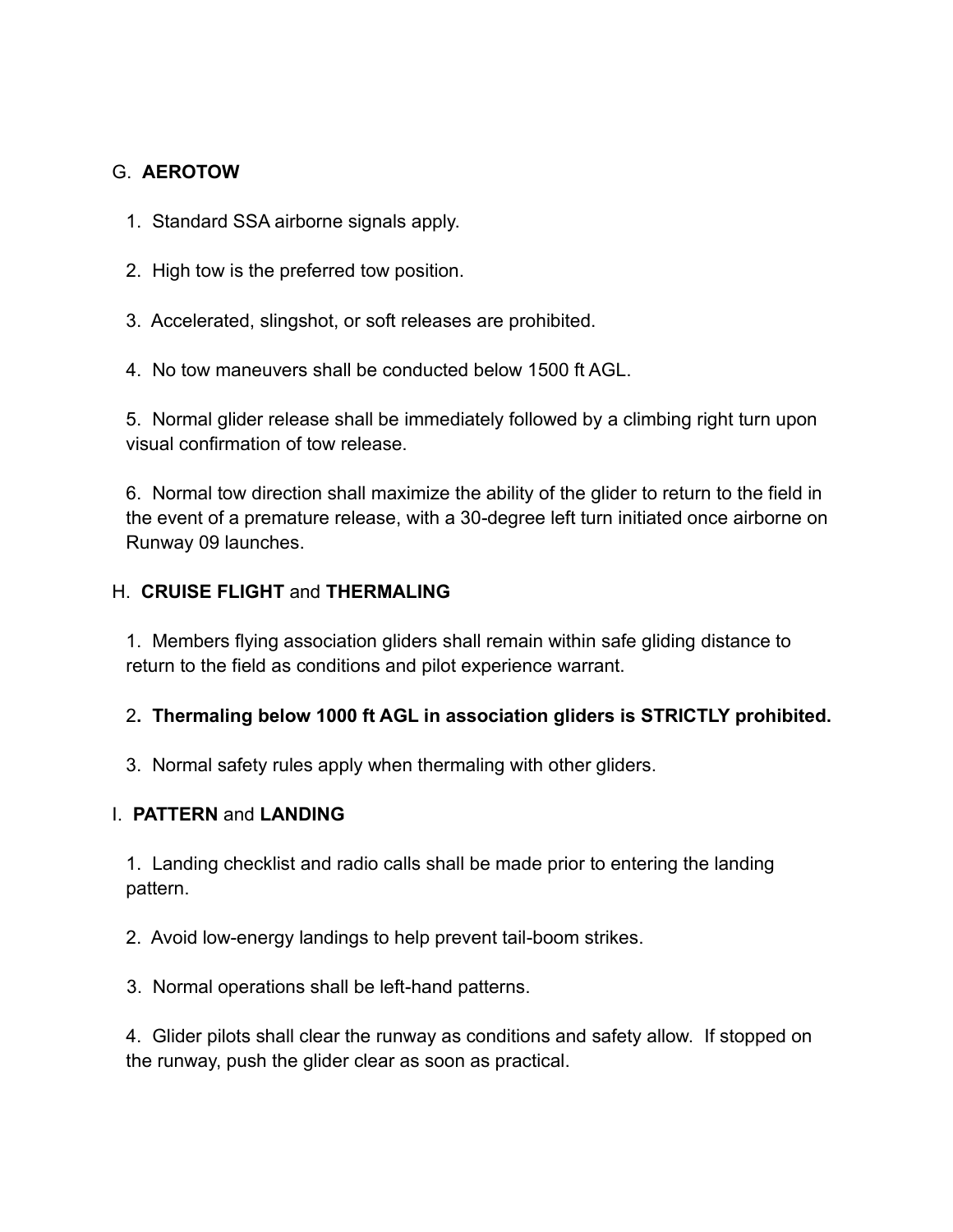#### G. **AEROTOW**

- 1. Standard SSA airborne signals apply.
- 2. High tow is the preferred tow position.
- 3. Accelerated, slingshot, or soft releases are prohibited.
- 4. No tow maneuvers shall be conducted below 1500 ft AGL.

5. Normal glider release shall be immediately followed by a climbing right turn upon visual confirmation of tow release.

6. Normal tow direction shall maximize the ability of the glider to return to the field in the event of a premature release, with a 30-degree left turn initiated once airborne on Runway 09 launches.

#### H. **CRUISE FLIGHT** and **THERMALING**

1. Members flying association gliders shall remain within safe gliding distance to return to the field as conditions and pilot experience warrant.

### 2**. Thermaling below 1000 ft AGL in association gliders is STRICTLY prohibited.**

3. Normal safety rules apply when thermaling with other gliders.

#### I. **PATTERN** and **LANDING**

1. Landing checklist and radio calls shall be made prior to entering the landing pattern.

2. Avoid low-energy landings to help prevent tail-boom strikes.

3. Normal operations shall be left-hand patterns.

4. Glider pilots shall clear the runway as conditions and safety allow. If stopped on the runway, push the glider clear as soon as practical.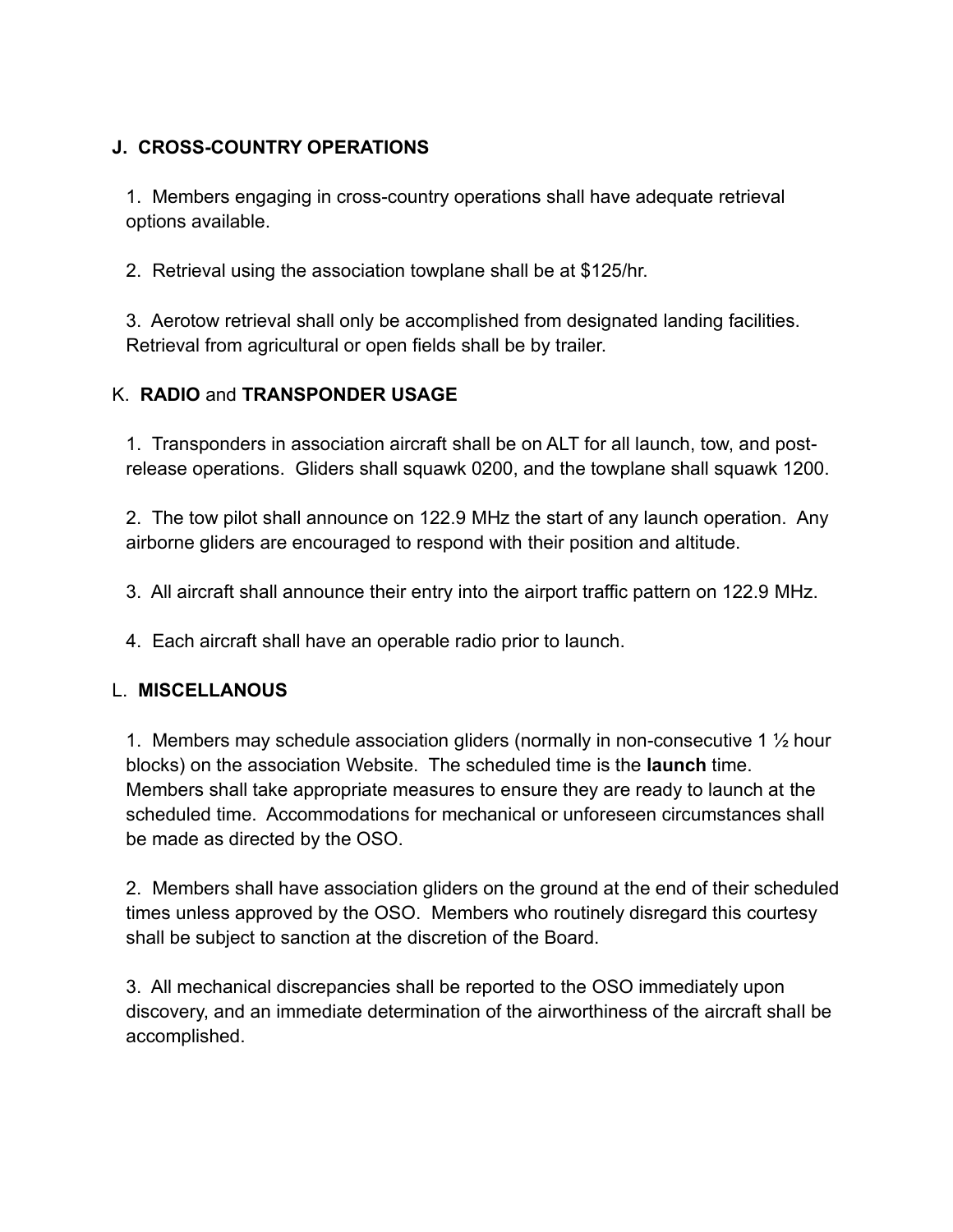## **J. CROSS-COUNTRY OPERATIONS**

1. Members engaging in cross-country operations shall have adequate retrieval options available.

2. Retrieval using the association towplane shall be at \$125/hr.

3. Aerotow retrieval shall only be accomplished from designated landing facilities. Retrieval from agricultural or open fields shall be by trailer.

### K. **RADIO** and **TRANSPONDER USAGE**

1. Transponders in association aircraft shall be on ALT for all launch, tow, and postrelease operations. Gliders shall squawk 0200, and the towplane shall squawk 1200.

2. The tow pilot shall announce on 122.9 MHz the start of any launch operation. Any airborne gliders are encouraged to respond with their position and altitude.

3. All aircraft shall announce their entry into the airport traffic pattern on 122.9 MHz.

4. Each aircraft shall have an operable radio prior to launch.

### L. **MISCELLANOUS**

1. Members may schedule association gliders (normally in non-consecutive 1 ½ hour blocks) on the association Website. The scheduled time is the **launch** time. Members shall take appropriate measures to ensure they are ready to launch at the scheduled time. Accommodations for mechanical or unforeseen circumstances shall be made as directed by the OSO.

2. Members shall have association gliders on the ground at the end of their scheduled times unless approved by the OSO. Members who routinely disregard this courtesy shall be subject to sanction at the discretion of the Board.

3. All mechanical discrepancies shall be reported to the OSO immediately upon discovery, and an immediate determination of the airworthiness of the aircraft shall be accomplished.